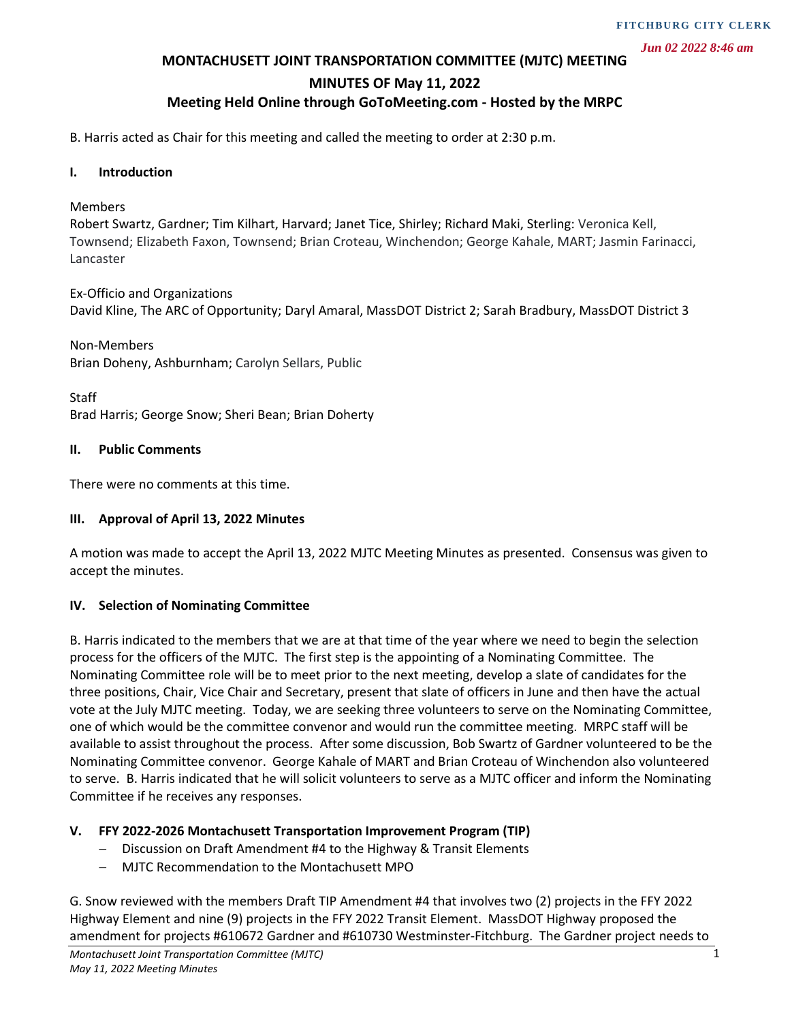*Jun 02 2022 8:46 am*

#### **MONTACHUSETT JOINT TRANSPORTATION COMMITTEE (MJTC) MEETING**

#### **MINUTES OF May 11, 2022**

## **Meeting Held Online through GoToMeeting.com - Hosted by the MRPC**

B. Harris acted as Chair for this meeting and called the meeting to order at 2:30 p.m.

#### **I. Introduction**

#### Members

Robert Swartz, Gardner; Tim Kilhart, Harvard; Janet Tice, Shirley; Richard Maki, Sterling: Veronica Kell, Townsend; Elizabeth Faxon, Townsend; Brian Croteau, Winchendon; George Kahale, MART; Jasmin Farinacci, Lancaster

Ex-Officio and Organizations David Kline, The ARC of Opportunity; Daryl Amaral, MassDOT District 2; Sarah Bradbury, MassDOT District 3

Non-Members Brian Doheny, Ashburnham; Carolyn Sellars, Public

Staff Brad Harris; George Snow; Sheri Bean; Brian Doherty

#### **II. Public Comments**

There were no comments at this time.

#### **III. Approval of April 13, 2022 Minutes**

A motion was made to accept the April 13, 2022 MJTC Meeting Minutes as presented. Consensus was given to accept the minutes.

#### **IV. Selection of Nominating Committee**

B. Harris indicated to the members that we are at that time of the year where we need to begin the selection process for the officers of the MJTC. The first step is the appointing of a Nominating Committee. The Nominating Committee role will be to meet prior to the next meeting, develop a slate of candidates for the three positions, Chair, Vice Chair and Secretary, present that slate of officers in June and then have the actual vote at the July MJTC meeting. Today, we are seeking three volunteers to serve on the Nominating Committee, one of which would be the committee convenor and would run the committee meeting. MRPC staff will be available to assist throughout the process. After some discussion, Bob Swartz of Gardner volunteered to be the Nominating Committee convenor. George Kahale of MART and Brian Croteau of Winchendon also volunteered to serve. B. Harris indicated that he will solicit volunteers to serve as a MJTC officer and inform the Nominating Committee if he receives any responses.

#### **V. FFY 2022-2026 Montachusett Transportation Improvement Program (TIP)**

- − Discussion on Draft Amendment #4 to the Highway & Transit Elements
- − MJTC Recommendation to the Montachusett MPO

G. Snow reviewed with the members Draft TIP Amendment #4 that involves two (2) projects in the FFY 2022 Highway Element and nine (9) projects in the FFY 2022 Transit Element. MassDOT Highway proposed the amendment for projects #610672 Gardner and #610730 Westminster-Fitchburg. The Gardner project needs to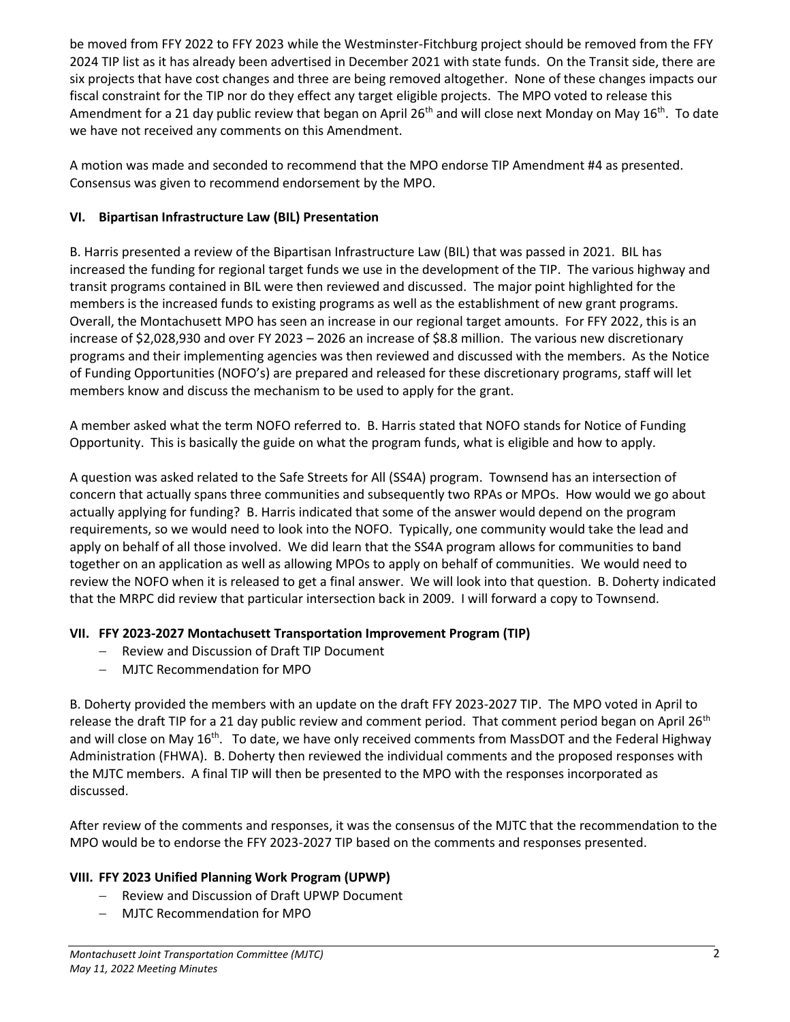be moved from FFY 2022 to FFY 2023 while the Westminster-Fitchburg project should be removed from the FFY 2024 TIP list as it has already been advertised in December 2021 with state funds. On the Transit side, there are six projects that have cost changes and three are being removed altogether. None of these changes impacts our fiscal constraint for the TIP nor do they effect any target eligible projects. The MPO voted to release this Amendment for a 21 day public review that began on April 26<sup>th</sup> and will close next Monday on May 16<sup>th</sup>. To date we have not received any comments on this Amendment.

A motion was made and seconded to recommend that the MPO endorse TIP Amendment #4 as presented. Consensus was given to recommend endorsement by the MPO.

# **VI. Bipartisan Infrastructure Law (BIL) Presentation**

B. Harris presented a review of the Bipartisan Infrastructure Law (BIL) that was passed in 2021. BIL has increased the funding for regional target funds we use in the development of the TIP. The various highway and transit programs contained in BIL were then reviewed and discussed. The major point highlighted for the members is the increased funds to existing programs as well as the establishment of new grant programs. Overall, the Montachusett MPO has seen an increase in our regional target amounts. For FFY 2022, this is an increase of \$2,028,930 and over FY 2023 – 2026 an increase of \$8.8 million. The various new discretionary programs and their implementing agencies was then reviewed and discussed with the members. As the Notice of Funding Opportunities (NOFO's) are prepared and released for these discretionary programs, staff will let members know and discuss the mechanism to be used to apply for the grant.

A member asked what the term NOFO referred to. B. Harris stated that NOFO stands for Notice of Funding Opportunity. This is basically the guide on what the program funds, what is eligible and how to apply.

A question was asked related to the Safe Streets for All (SS4A) program. Townsend has an intersection of concern that actually spans three communities and subsequently two RPAs or MPOs. How would we go about actually applying for funding? B. Harris indicated that some of the answer would depend on the program requirements, so we would need to look into the NOFO. Typically, one community would take the lead and apply on behalf of all those involved. We did learn that the SS4A program allows for communities to band together on an application as well as allowing MPOs to apply on behalf of communities. We would need to review the NOFO when it is released to get a final answer. We will look into that question. B. Doherty indicated that the MRPC did review that particular intersection back in 2009. I will forward a copy to Townsend.

# **VII. FFY 2023-2027 Montachusett Transportation Improvement Program (TIP)**

- − Review and Discussion of Draft TIP Document
- − MJTC Recommendation for MPO

B. Doherty provided the members with an update on the draft FFY 2023-2027 TIP. The MPO voted in April to release the draft TIP for a 21 day public review and comment period. That comment period began on April 26<sup>th</sup> and will close on May 16<sup>th</sup>. To date, we have only received comments from MassDOT and the Federal Highway Administration (FHWA). B. Doherty then reviewed the individual comments and the proposed responses with the MJTC members. A final TIP will then be presented to the MPO with the responses incorporated as discussed.

After review of the comments and responses, it was the consensus of the MJTC that the recommendation to the MPO would be to endorse the FFY 2023-2027 TIP based on the comments and responses presented.

# **VIII. FFY 2023 Unified Planning Work Program (UPWP)**

- − Review and Discussion of Draft UPWP Document
- − MJTC Recommendation for MPO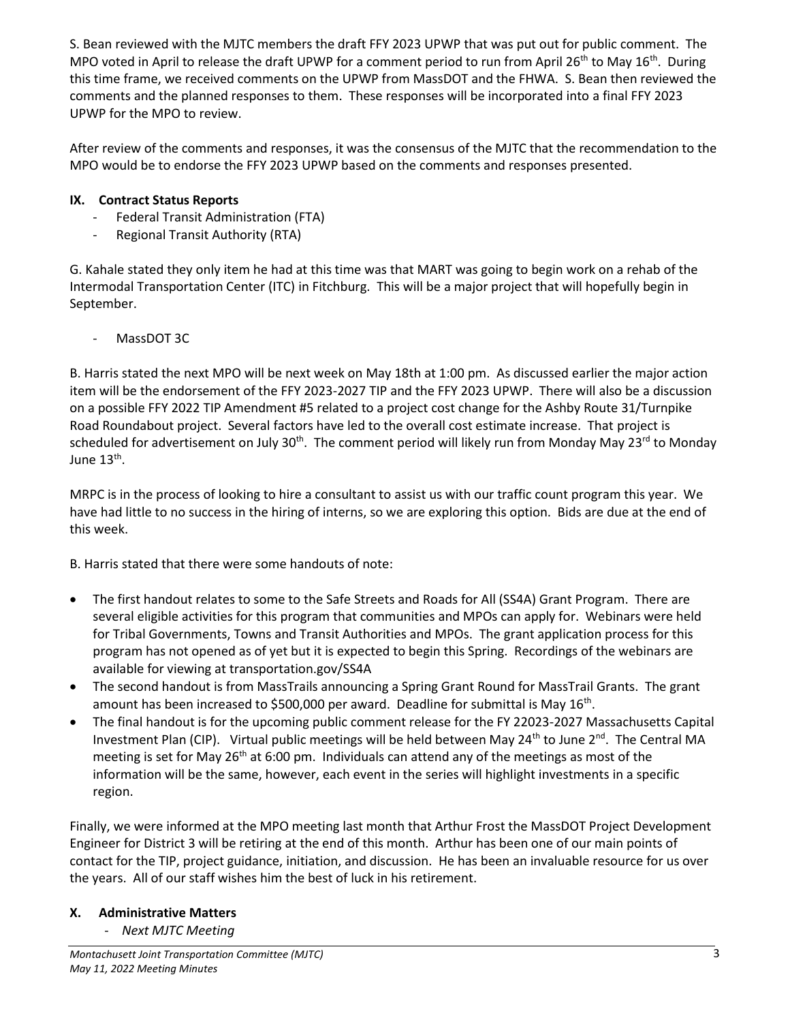S. Bean reviewed with the MJTC members the draft FFY 2023 UPWP that was put out for public comment. The MPO voted in April to release the draft UPWP for a comment period to run from April 26<sup>th</sup> to May 16<sup>th</sup>. During this time frame, we received comments on the UPWP from MassDOT and the FHWA. S. Bean then reviewed the comments and the planned responses to them. These responses will be incorporated into a final FFY 2023 UPWP for the MPO to review.

After review of the comments and responses, it was the consensus of the MJTC that the recommendation to the MPO would be to endorse the FFY 2023 UPWP based on the comments and responses presented.

## **IX. Contract Status Reports**

- Federal Transit Administration (FTA)
- Regional Transit Authority (RTA)

G. Kahale stated they only item he had at this time was that MART was going to begin work on a rehab of the Intermodal Transportation Center (ITC) in Fitchburg. This will be a major project that will hopefully begin in September.

MassDOT 3C

B. Harris stated the next MPO will be next week on May 18th at 1:00 pm. As discussed earlier the major action item will be the endorsement of the FFY 2023-2027 TIP and the FFY 2023 UPWP. There will also be a discussion on a possible FFY 2022 TIP Amendment #5 related to a project cost change for the Ashby Route 31/Turnpike Road Roundabout project. Several factors have led to the overall cost estimate increase. That project is scheduled for advertisement on July 30<sup>th</sup>. The comment period will likely run from Monday May 23<sup>rd</sup> to Monday June 13<sup>th</sup>.

MRPC is in the process of looking to hire a consultant to assist us with our traffic count program this year. We have had little to no success in the hiring of interns, so we are exploring this option. Bids are due at the end of this week.

B. Harris stated that there were some handouts of note:

- The first handout relates to some to the Safe Streets and Roads for All (SS4A) Grant Program. There are several eligible activities for this program that communities and MPOs can apply for. Webinars were held for Tribal Governments, Towns and Transit Authorities and MPOs. The grant application process for this program has not opened as of yet but it is expected to begin this Spring. Recordings of the webinars are available for viewing at transportation.gov/SS4A
- The second handout is from MassTrails announcing a Spring Grant Round for MassTrail Grants. The grant amount has been increased to \$500,000 per award. Deadline for submittal is May 16<sup>th</sup>.
- The final handout is for the upcoming public comment release for the FY 22023-2027 Massachusetts Capital Investment Plan (CIP). Virtual public meetings will be held between May 24<sup>th</sup> to June 2<sup>nd</sup>. The Central MA meeting is set for May 26<sup>th</sup> at 6:00 pm. Individuals can attend any of the meetings as most of the information will be the same, however, each event in the series will highlight investments in a specific region.

Finally, we were informed at the MPO meeting last month that Arthur Frost the MassDOT Project Development Engineer for District 3 will be retiring at the end of this month. Arthur has been one of our main points of contact for the TIP, project guidance, initiation, and discussion. He has been an invaluable resource for us over the years. All of our staff wishes him the best of luck in his retirement.

## **X. Administrative Matters**

- *Next MJTC Meeting*